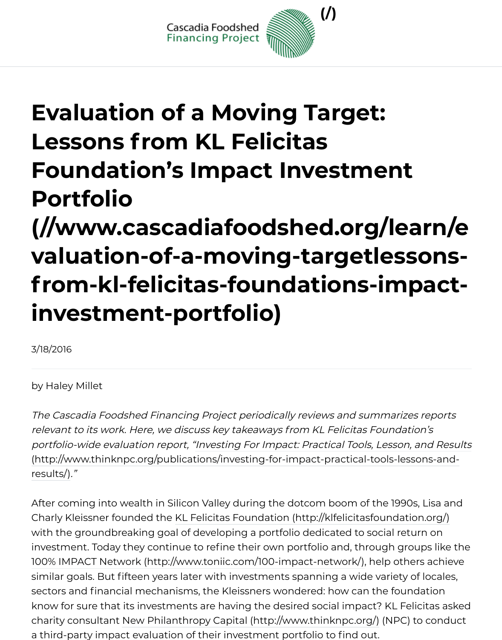# **Evaluation [of a Moving Tar](http://www.cascadiafoodshed.org/)get: Lessons from KL Felicitas Foundation's Impact Investment Portfolio (//www.cascadiafoodshed.org/lear** valuation-of-a-moving-targetlesso **from-kl-felicitas-foundations-impart**

**investment-portfolio)**

3/18/2016

by Haley Millet

(http://www.thinknpc.org/publications/investing-for-impact-practical-tools-lessor results/) ."The Cascadia Foodshed Financing Project periodically reviews and summarizes re relevant to its work. Here, we discuss key takeaways from KL Felicitas Foundation portfolio-wide evaluation report, "Investing For Impact: Practical Tools, Lesson, an

After coming into wealth in Silicon Valley during the dotcom boom of the 1990s, L Charly Kleissner founded the KL Felicitas Foundation (http://klfelicitasfoundation. with the groundbreaking goal of developing a portfolio dedicated to social return investment. Today they continue to refine their own portfolio and, through group 100% IMPACT Network (http://www.toniic.com/100-impact-network/), help others similar goals. But fifteen years later with investments spanning a wide variety of le sectors and financial mechanisms, the Kleissners wondered: how can the founda know for sure that its investments are having the desired social impact? KL Felicity charity consultant New Philanthropy Capital (http://www.thinknpc.org/) (NPC) to a third-party impact evaluation of their investment portfolio to find out.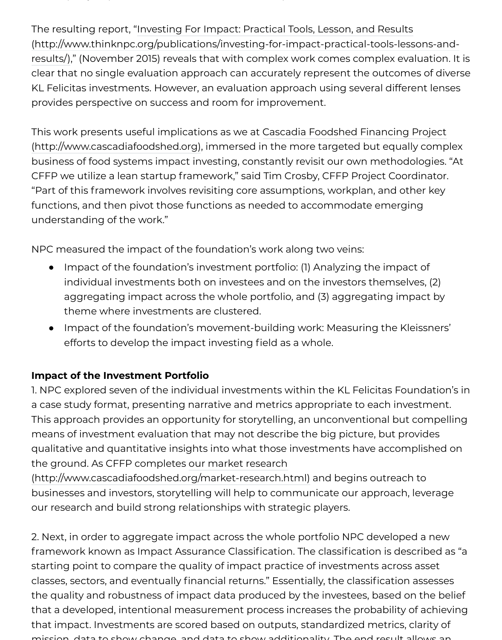KL Felicitas investments. However, an evaluation approach using several different provides perspective on success and room for improvement.

This work presents useful implications as we at Cascadia Foodshed Financing Pro (http://www.cascadiafoodshed.org), immersed in the more targeted but equally c business of food systems impact investing, constantly revisit our own methodolog CFFP we utilize a lean startup framework," said Tim Crosby, CFFP Project Coordin "Part of this framework involves revisiting core assumptions, workplan, and other key functions, and then pivot those functions as needed to accommodate emerging [understanding of the work."](http://www.cascadiafoodshed.org/)

NPC measured the impact of the foundation's work along two veins:

- Impact of the foundation's investment portfolio: (1) Analyzing the impact of  $\bullet$ individual investments both on investees and on the investors themselves, aggregating impact across the whole portfolio, and (3) aggregating impac theme where investments are clustered.
- Impact of the foundation's movement-building work: Measuring the Kleiss efforts to develop the impact investing field as a whole.

#### **Impact of the Investment Portfolio**

1. NPC explored seven of the individual investments within the KL Felicitas Found a case study format, presenting narrative and metrics appropriate to each investr This approach provides an opportunity for storytelling, an unconventional but cor means of investment evaluation that may not describe the big picture, but provid qualitative and quantitative insights into what those investments have accomplis the ground. As CFFP completes our market research

(http://www.cascadiafoodshed.org/market-research.html) and begins outreach to businesses and investors, storytelling will help to communicate our approach, lev our research and build strong relationships with strategic players.

2. Next, in order to aggregate impact across the whole portfolio NPC developed a [framework known as Impact Assurance Classification. The](http://www.cascadiafoodshed.org/market-research.html) classification is describ starting point to compare the quality of impact practice of investments across as classes, sectors, and eventually financial returns." Essentially, the classification asses the quality and robustness of impact data produced by the investees, based on th that a developed, intentional measurement process increases the probability of a that impact. Investments are scored based on outputs, standardized metrics, clar mission, data to show change, and data to show additionality. The end result allows an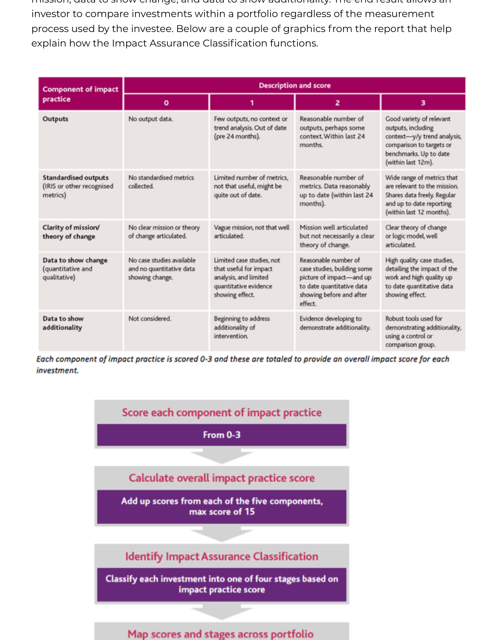mission, data to show change, and data to show additionality. The end result allows an investor to compare investments within a portfolio regardless of the measurement process used by the investee. Below are a couple of graphics from the report that help explain how the Impact Assurance Classification functions.

| <b>Component of impact</b><br>practice                               | <b>Description and score</b>                                             |                                                                                                                          |                                                                                                                                                     |                                                                                                                                                           |
|----------------------------------------------------------------------|--------------------------------------------------------------------------|--------------------------------------------------------------------------------------------------------------------------|-----------------------------------------------------------------------------------------------------------------------------------------------------|-----------------------------------------------------------------------------------------------------------------------------------------------------------|
|                                                                      | o                                                                        |                                                                                                                          | $\overline{z}$                                                                                                                                      | з                                                                                                                                                         |
| Outputs                                                              | No output data.                                                          | Few outputs, no context or<br>trend analysis. Out of date<br>(pre 24 months).                                            | Reasonable number of<br>outputs, perhaps some<br>context. Within last 24<br>months.                                                                 | Good variety of relevant<br>outputs, including<br>context-y/y trend analysis,<br>comparison to targets or<br>benchmarks. Up to date<br>(within last 12m). |
| <b>Standardised outputs</b><br>(IRIS or other recognised<br>metrics) | No standardised metrics<br>collected.                                    | Limited number of metrics.<br>not that useful, might be<br>quite out of date.                                            | Reasonable number of<br>metrics. Data reasonably<br>up to date (within last 24<br>months).                                                          | Wide range of metrics that<br>are relevant to the mission.<br>Shares data freely. Regular<br>and up to date reporting<br>(within last 12 months).         |
| Clarity of mission/<br>theory of change                              | No clear mission or theory<br>of change articulated.                     | Vague mission, not that well<br>articulated.                                                                             | Mission well articulated<br>but not necessarily a clear<br>theory of change.                                                                        | Clear theory of change<br>or logic model, well<br>articulated.                                                                                            |
| Data to show change<br>(quantitative and<br>qualitative)             | No case studies available<br>and no quantitative data<br>showing change. | Limited case studies, not<br>that useful for impact<br>analysis, and limited<br>quantitative evidence<br>showing effect. | Reasonable number of<br>case studies, building some<br>picture of impact-and up<br>to date quantitative data<br>showing before and after<br>effect. | High quality case studies,<br>detailing the impact of the<br>work and high quality up<br>to date quantitative data<br>showing effect.                     |
| Data to show<br>additionality                                        | Not considered.                                                          | Beginning to address<br>additionality of<br>intervention.                                                                | Evidence developing to<br>demonstrate additionality.                                                                                                | Robust tools used for<br>demonstrating additionality,<br>using a control or<br>comparison group.                                                          |

Each component of impact practice is scored 0-3 and these are totaled to provide an overall impact score for each investment.



Map scores and stages across portfolio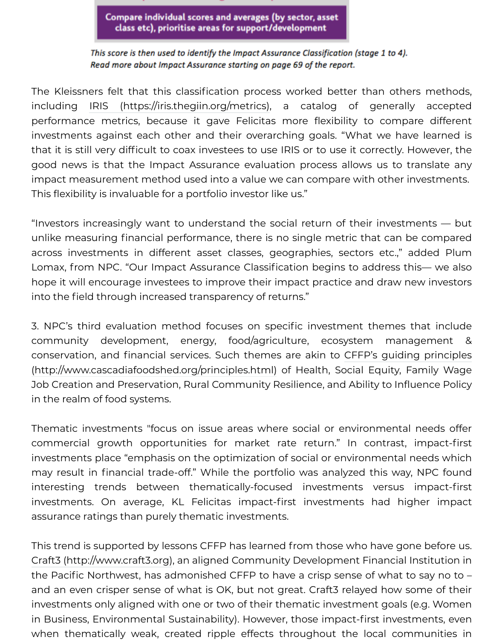The Kleissners felt that this classification process worked better than others including IRIS (https://iris.thegiin.org/metrics), a catalog of generally performance metrics, because it gave Felicitas more flexibility to compare investments against each other and their overarching goals. "What we have I that it is still very difficult to coax investees to use IRIS or to use it correctly. Hov good news is that the Impact Assurance evaluation process allows us to tran impact measurement method used into a value we can compare with other inve This flexibili[ty is invaluable for a portfolio investor](https://iris.thegiin.org/metrics) like us."

"Investors increasingly want to understand the social return of their investmer unlike measuring financial performance, there is no single metric that can be c across investments in different asset classes, geographies, sectors etc.," add Lomax, from NPC. "Our Impact Assurance Classification begins to address thishope it will encourage investees to improve their impact practice and draw new into the field through increased transparency of returns."

3. NPC's third evaluation method focuses on specific investment themes tha community development, energy, food/agriculture, ecosystem manage conservation, and financial services. Such themes are akin to CFFP's guiding principles (http://www.cascadiafoodshed.org/principles.html) of Health, Social Equity, Fam Job Creation and Preservation, Rural Community Resilience, and Ability to Influer in the realm of food systems.

Thematic investments "focus on issue areas where social or environmental need commercial growth opportunities for market rate return." In contrast, im investments place "emphasis on the optimization of social or environmental nee may result in financial trade-off." While the portfolio was analyzed this way, NI interesting trends between thematically-focused investments versus im investments. On average, KL Felicitas impact-first investments had highe assurance ratings than purely thematic investments.

This trend is supported by lessons CFFP has learned from those who have gone I Craft3 (http://www.craft3.org), an aligned Community Development Financial Inst the Pacific Northwest, has admonished CFFP to have a crisp sense of what to say and an even crisper sense of what is OK, but not great. Craft3 relayed how som investments only aligned with one or two of their thematic investment goals (e.g. in Business, Environmental Sustainability). However, those impact-first investme when thematically weak, created ripple effects throughout the local community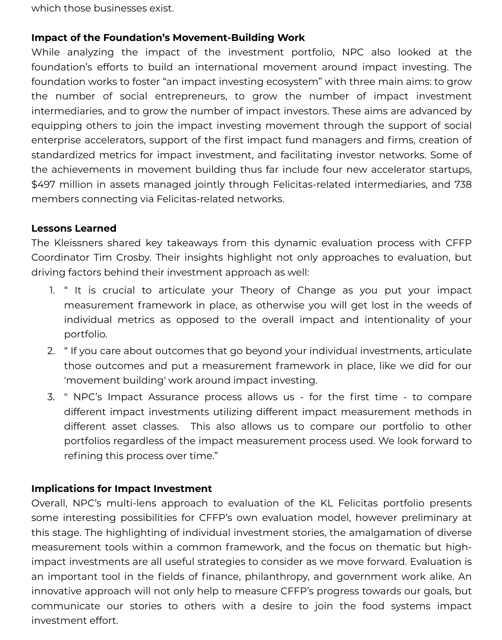which those businesses exist.

#### **Impact of the Foundation's Movement-Building Work**

While analyzing the impact of the investment portfolio, NPC also looked at the foundation's efforts to build an international movement around impact investing. The foundation works to foster "an impact investing ecosystem" with three main aims: to grow the number of social entrepreneurs, to grow the number of impact investment intermediaries, and to grow the number of impact investors. These aims are advanced by equipping others to join the impact investing movement through the support of social enterprise accelerators, support of the first impact fund managers and firms, creation of standardized metrics for impact investment, and facilitating investor networks. Some of the achievements in movement building thus far include four new accelerator startups, \$497 million in assets managed jointly through Felicitas-related intermediaries, and 738 members connecting via Felicitas-related networks.

#### **Lessons Learned**

The Kleissners shared key takeaways from this dynamic evaluation process with CFFP Coordinator Tim Crosby. Their insights highlight not only approaches to evaluation, but driving factors behind their investment approach as well:

- 1. " It is crucial to articulate your Theory of Change as you put your impact measurement framework in place, as otherwise you will get lost in the weeds of individual metrics as opposed to the overall impact and intentionality of your portfolio.
- 2. " If you care about outcomes that go beyond your individual investments, articulate those outcomes and put a measurement framework in place, like we did for our 'movement building' work around impact investing.
- 3. " NPC's Impact Assurance process allows us for the first time to compare different impact investments utilizing different impact measurement methods in different asset classes. This also allows us to compare our portfolio to other portfolios regardless of the impact measurement process used. We look forward to refining this process over time."

#### **Implications for Impact Investment**

Overall, NPC's multi-lens approach to evaluation of the KL Felicitas portfolio presents some interesting possibilities for CFFP's own evaluation model, however preliminary at this stage. The highlighting of individual investment stories, the amalgamation of diverse measurement tools within a common framework, and the focus on thematic but highimpact investments are all useful strategies to consider as we move forward. Evaluation is an important tool in the fields of finance, philanthropy, and government work alike. An innovative approach will not only help to measure CFFP's progress towards our goals, but communicate our stories to others with a desire to join the food systems impact investment effort.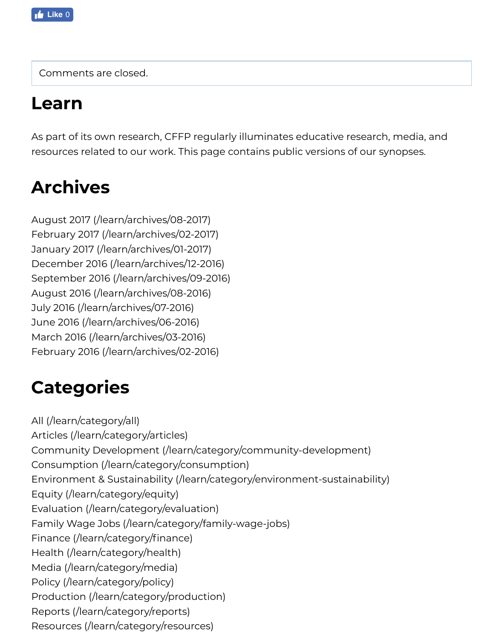### **Learn**

As part of its own research, CFFP regularly illuminates educative research, media, resources related to our work. This page contains public versions of our synopses.

## **Archives**

August 2017 (/learn/archives/08-2017) February 2017 (/learn/archives/02-2017) January 2017 (/learn/archives/01-2017) December 2016 (/learn/archives/12-2016) September 2016 (/learn/archives/09-2016) August 2016 (/learn/archives/08-2016) [July 2016 \(/learn/archives/07-2016\)](http://www.cascadiafoodshed.org/learn/archives/08-2017) [June 2016 \(/learn/archives/06-2016\)](http://www.cascadiafoodshed.org/learn/archives/02-2017) [March 2016 \(/learn/archives/03-2016\)](http://www.cascadiafoodshed.org/learn/archives/01-2017) [February 2016 \(/learn/archives/02-2016\)](http://www.cascadiafoodshed.org/learn/archives/12-2016)

### **[Categories](http://www.cascadiafoodshed.org/learn/archives/07-2016)**

[All \(/learn/category/all\)](http://www.cascadiafoodshed.org/learn/archives/03-2016) [Articles \(/learn/category/articles\)](http://www.cascadiafoodshed.org/learn/archives/02-2016) Community Development (/learn/category/community-development) Consumption (/learn/category/consumption) Environment & Sustainability (/learn/category/environment-sustainability) Equity (/learn/category/equity) [Evaluation \(/learn/cate](http://www.cascadiafoodshed.org/learn/category/all)gory/evaluation) [Family Wage Jobs \(/learn/catego](http://www.cascadiafoodshed.org/learn/category/articles)ry/family-wage-jobs) [Finance \(/learn/category/finance\)](http://www.cascadiafoodshed.org/learn/category/community-development) [Health \(/learn/category/health\)](http://www.cascadiafoodshed.org/learn/category/consumption) [Media \(/learn/category/media\)](http://www.cascadiafoodshed.org/learn/category/environment-sustainability) [Policy \(/learn/category/policy\)](http://www.cascadiafoodshed.org/learn/category/equity) [Production \(/learn/category/production](http://www.cascadiafoodshed.org/learn/category/evaluation)) [Reports \(/learn/category/reports\)](http://www.cascadiafoodshed.org/learn/category/family-wage-jobs) [Resources \(/learn/category/resour](http://www.cascadiafoodshed.org/learn/category/finance)ces)